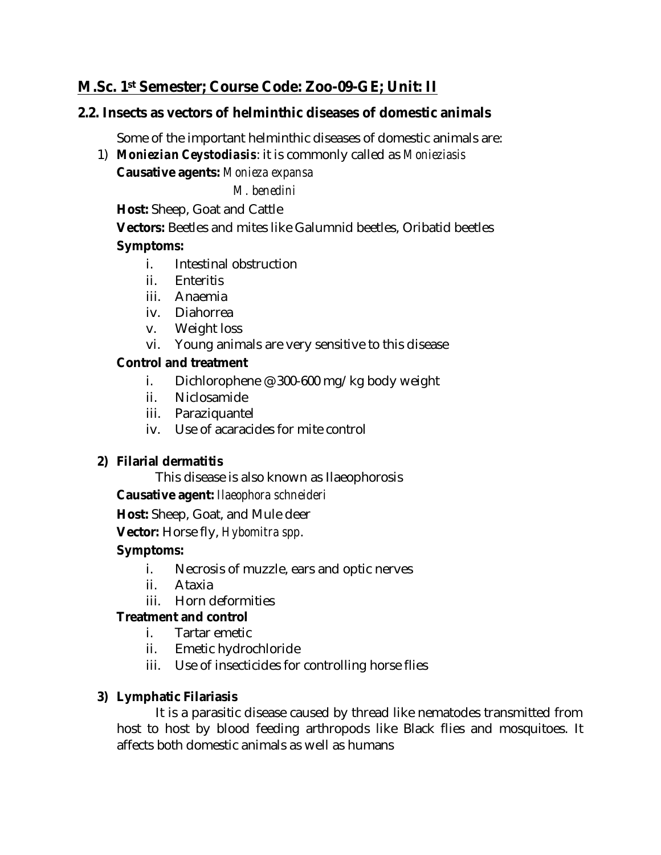# **M.Sc. 1st Semester; Course Code: Zoo-09-GE; Unit: II**

#### **2.2. Insects as vectors of helminthic diseases of domestic animals**

Some of the important helminthic diseases of domestic animals are:

1) *Moniezian Ceystodiasis*: it is commonly called as *Monieziasis*

**Causative agents:** *Monieza expansa*

*M. benedini*

**Host:** Sheep, Goat and Cattle

**Vectors:** Beetles and mites like Galumnid beetles, Oribatid beetles **Symptoms:** 

- i. Intestinal obstruction
- ii. Enteritis
- iii. Anaemia
- iv. Diahorrea
- v. Weight loss
- vi. Young animals are very sensitive to this disease

#### **Control and treatment**

- i. Dichlorophene @ 300-600 mg/kg body weight
- ii. Niclosamide
- iii. Paraziquantel
- iv. Use of acaracides for mite control

#### **2) Filarial dermatitis**

This disease is also known as Ilaeophorosis

**Causative agent:** *Ilaeophora schneideri*

**Host:** Sheep, Goat, and Mule deer

**Vector:** Horse fly, *Hybomitra spp*.

#### **Symptoms:**

- i. Necrosis of muzzle, ears and optic nerves
- ii. Ataxia
- iii. Horn deformities

#### **Treatment and control**

- i. Tartar emetic
- ii. Emetic hydrochloride
- iii. Use of insecticides for controlling horse flies

#### **3) Lymphatic Filariasis**

It is a parasitic disease caused by thread like nematodes transmitted from host to host by blood feeding arthropods like Black flies and mosquitoes. It affects both domestic animals as well as humans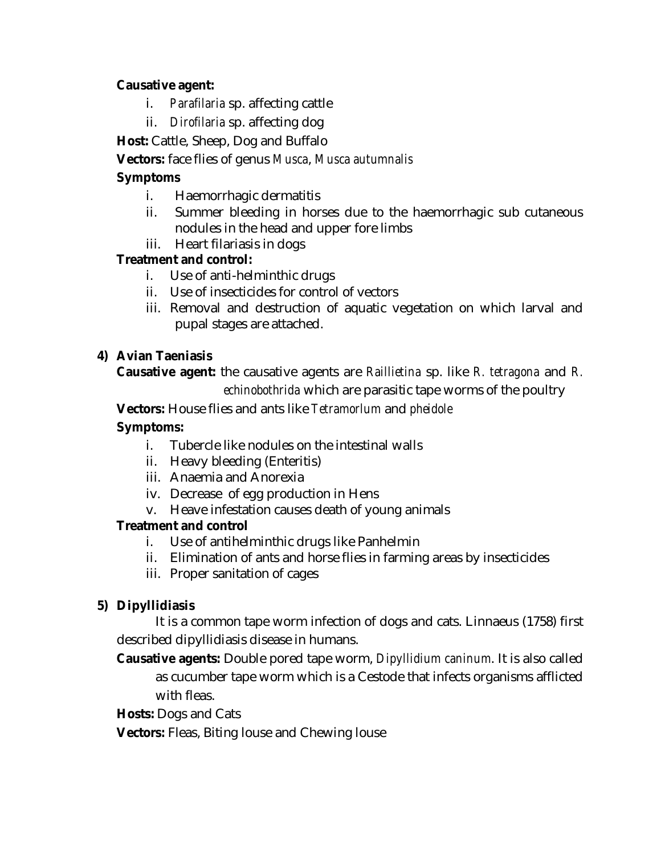#### **Causative agent:**

- i. *Parafilaria* sp. affecting cattle
- ii. *Dirofilaria* sp. affecting dog

**Host:** Cattle, Sheep, Dog and Buffalo

#### **Vectors:** face flies of genus *Musca*, *Musca autumnalis*

### **Symptoms**

- i. Haemorrhagic dermatitis
- ii. Summer bleeding in horses due to the haemorrhagic sub cutaneous nodules in the head and upper fore limbs
- iii. Heart filariasis in dogs

# **Treatment and control:**

- i. Use of anti-helminthic drugs
- ii. Use of insecticides for control of vectors
- iii. Removal and destruction of aquatic vegetation on which larval and pupal stages are attached.

# **4) Avian Taeniasis**

**Causative agent:** the causative agents are *Raillietina* sp. like *R. tetragona* and *R.* 

*echinobothrida* which are parasitic tape worms of the poultry

**Vectors:** House flies and ants like *Tetramorlum* and *pheidole*

#### **Symptoms:**

- i. Tubercle like nodules on the intestinal walls
- ii. Heavy bleeding (Enteritis)
- iii. Anaemia and Anorexia
- iv. Decrease of egg production in Hens
- v. Heave infestation causes death of young animals

#### **Treatment and control**

- i. Use of antihelminthic drugs like Panhelmin
- ii. Elimination of ants and horse flies in farming areas by insecticides
- iii. Proper sanitation of cages

# **5) Dipyllidiasis**

It is a common tape worm infection of dogs and cats. Linnaeus (1758) first described dipyllidiasis disease in humans.

**Causative agents:** Double pored tape worm, *Dipyllidium caninum*. It is also called as cucumber tape worm which is a Cestode that infects organisms afflicted with fleas.

**Hosts:** Dogs and Cats

**Vectors:** Fleas, Biting louse and Chewing louse